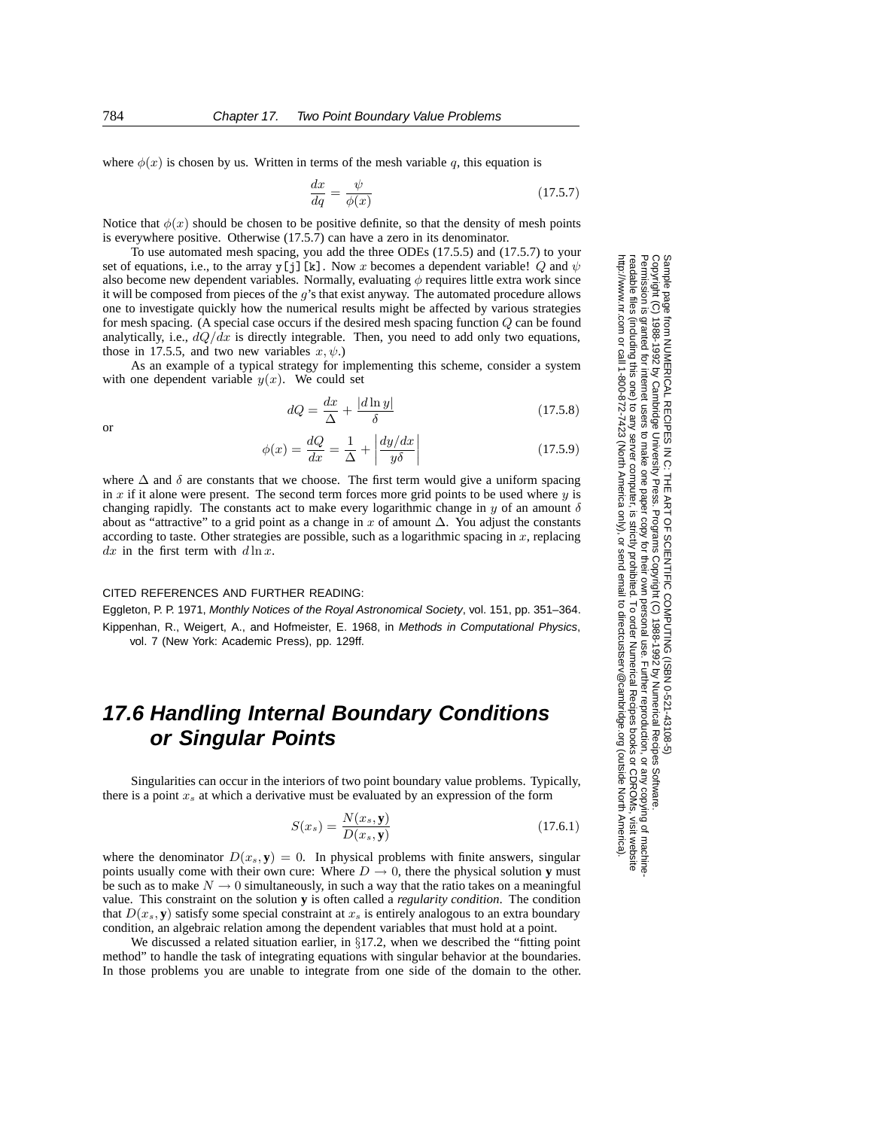where  $\phi(x)$  is chosen by us. Written in terms of the mesh variable q, this equation is

$$
\frac{dx}{dq} = \frac{\psi}{\phi(x)}\tag{17.5.7}
$$

Notice that  $\phi(x)$  should be chosen to be positive definite, so that the density of mesh points is everywhere positive. Otherwise (17.5.7) can have a zero in its denominator.

To use automated mesh spacing, you add the three ODEs (17.5.5) and (17.5.7) to your set of equations, i.e., to the array y[j][k]. Now x becomes a dependent variable! Q and  $\psi$ also become new dependent variables. Normally, evaluating  $\phi$  requires little extra work since it will be composed from pieces of the  $g$ 's that exist anyway. The automated procedure allows one to investigate quickly how the numerical results might be affected by various strategies for mesh spacing. (A special case occurs if the desired mesh spacing function Q can be found analytically, i.e.,  $dQ/dx$  is directly integrable. Then, you need to add only two equations, those in 17.5.5, and two new variables  $x, \psi$ .)

As an example of a typical strategy for implementing this scheme, consider a system with one dependent variable  $y(x)$ . We could set

$$
dQ = \frac{dx}{\Delta} + \frac{|d \ln y|}{\delta} \tag{17.5.8}
$$

or

$$
\phi(x) = \frac{dQ}{dx} = \frac{1}{\Delta} + \left| \frac{dy/dx}{y\delta} \right| \tag{17.5.9}
$$

where  $\Delta$  and  $\delta$  are constants that we choose. The first term would give a uniform spacing in  $x$  if it alone were present. The second term forces more grid points to be used where  $y$  is changing rapidly. The constants act to make every logarithmic change in  $\gamma$  of an amount  $\delta$ about as "attractive" to a grid point as a change in x of amount  $\Delta$ . You adjust the constants according to taste. Other strategies are possible, such as a logarithmic spacing in  $x$ , replacing  $dx$  in the first term with  $d \ln x$ .

## CITED REFERENCES AND FURTHER READING:

Eggleton, P. P. 1971, Monthly Notices of the Royal Astronomical Society, vol. 151, pp. 351–364. Kippenhan, R., Weigert, A., and Hofmeister, E. 1968, in Methods in Computational Physics, vol. 7 (New York: Academic Press), pp. 129ff.

## **17.6 Handling Internal Boundary Conditions or Singular Points**

Singularities can occur in the interiors of two point boundary value problems. Typically, there is a point x*<sup>s</sup>* at which a derivative must be evaluated by an expression of the form

$$
S(x_s) = \frac{N(x_s, \mathbf{y})}{D(x_s, \mathbf{y})}
$$
\n(17.6.1)

where the denominator  $D(x_s, y) = 0$ . In physical problems with finite answers, singular points usually come with their own cure: Where  $D \rightarrow 0$ , there the physical solution **y** must be such as to make  $N \rightarrow 0$  simultaneously, in such a way that the ratio takes on a meaningful value. This constraint on the solution **y** is often called a *regularity condition*. The condition that  $D(x_s, y)$  satisfy some special constraint at  $x_s$  is entirely analogous to an extra boundary condition, an algebraic relation among the dependent variables that must hold at a point.

We discussed a related situation earlier, in  $\S17.2$ , when we described the "fitting point" method" to handle the task of integrating equations with singular behavior at the boundaries. In those problems you are unable to integrate from one side of the domain to the other.

Permission is granted for internet users to make one paper copy for their own personal use. Further reproduction, or any copyin Copyright (C) 1988-1992 by Cambridge University Press.Programs Copyright (C) 1988-1992 by Numerical Recipes Software. Sample page from NUMERICAL RECIPES IN C: THE ART OF SCIENTIFIC COMPUTING (ISBN 0-521-43108-5) g of machinereadable files (including this one) to any servercomputer, is strictly prohibited. To order Numerical Recipes booksor CDROMs, visit website http://www.nr.com or call 1-800-872-7423 (North America only),or send email to directcustserv@cambridge.org (outside North America).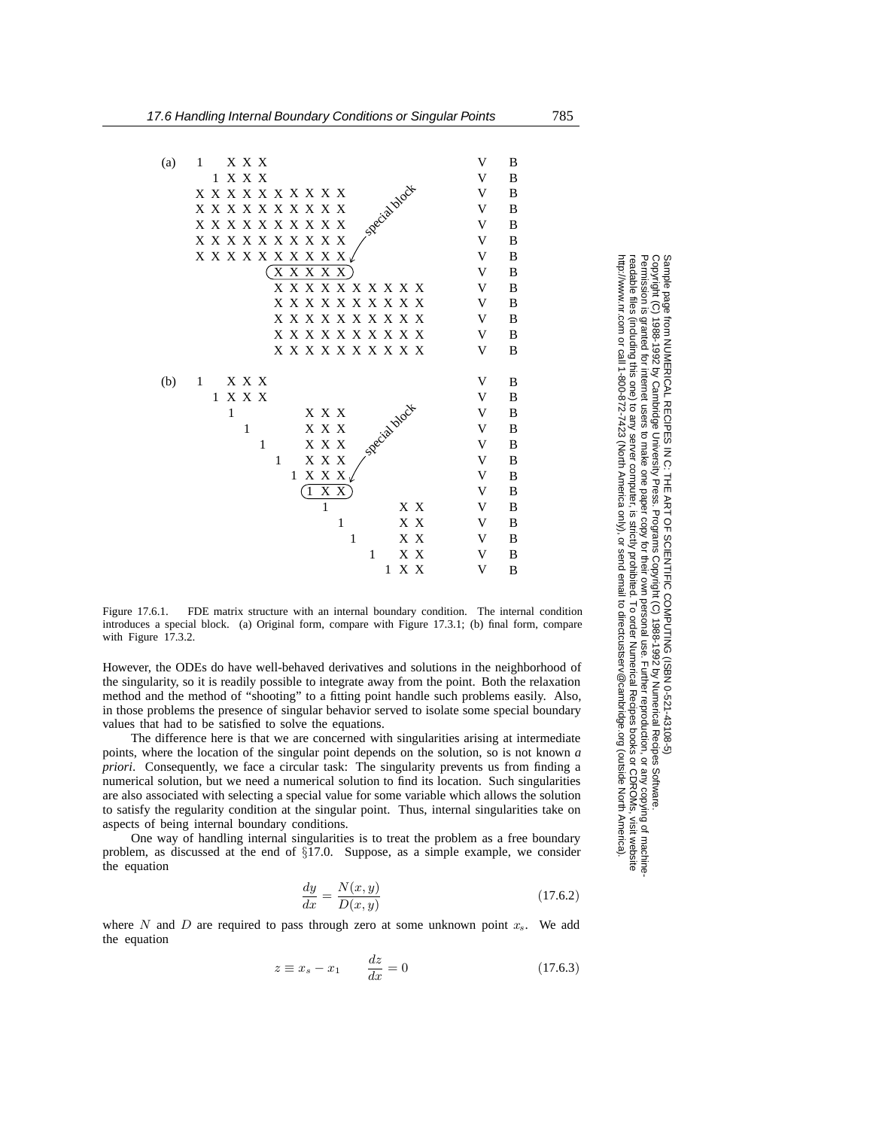

Figure 17.6.1. FDE matrix structure with an internal boundary condition. The internal condition introduces a special block. (a) Original form, compare with Figure 17.3.1; (b) final form, compare with Figure 17.3.2.

However, the ODEs do have well-behaved derivatives and solutions in the neighborhood of the singularity, so it is readily possible to integrate away from the point. Both the relaxation method and the method of "shooting" to a fitting point handle such problems easily. Also, in those problems the presence of singular behavior served to isolate some special boundary values that had to be satisfied to solve the equations.

The difference here is that we are concerned with singularities arising at intermediate points, where the location of the singular point depends on the solution, so is not known *a priori*. Consequently, we face a circular task: The singularity prevents us from finding a numerical solution, but we need a numerical solution to find its location. Such singularities are also associated with selecting a special value for some variable which allows the solution to satisfy the regularity condition at the singular point. Thus, internal singularities take on aspects of being internal boundary conditions.

One way of handling internal singularities is to treat the problem as a free boundary problem, as discussed at the end of §17.0. Suppose, as a simple example, we consider the equation

$$
\frac{dy}{dx} = \frac{N(x, y)}{D(x, y)}\tag{17.6.2}
$$

where  $N$  and  $D$  are required to pass through zero at some unknown point  $x_s$ . We add the equation

$$
z \equiv x_s - x_1 \qquad \frac{dz}{dx} = 0 \tag{17.6.3}
$$

Sample page t<br>Copyright (C) Copyright (C) 1988-1992 by Cambridge University Press.Sample page from NUMERICAL RECIPES IN C: THE ART OF SCIENTIFIC COMPUTING (ISBN 0-521-43108-5) ntp://www.nr.com or call 1-800-872-7423 (North America only), or send email to directcustserv@cambridge.org (outside North America). http://www.nr.com or call 1-800-872-7423 (North America only),readable files (including this one) to any server computer, is strictly prohibited. readable files (including this one) to any serverPermission is granted for internet users to make one paper copy for their own personal use. Further reproduction, or any copyin Permission is granted for internet users to make one paper copy for their own personal use. Further reproduction, or any copying of machine.<br>(including this one) to any server computer, is strictly prohibited. To order Numerical Recipes from NUMERICAL RECIPES IN C. THE ART OF SCIENTIFIC COMPUTING (ISBN 0-521-43108-5)<br>1988-1992 by Cambridge University Press. Programs Copyright (C) 1989-1992 by Numerical Recipes Software computer, is strictly prohibited. To order Numerical Recipes booksPrograms Copyright (C) 1988-1992 by Numerical Recipes Software. or send email to directcustserv@cambridge.org (outside North America). or CDROMs, visit website g of machine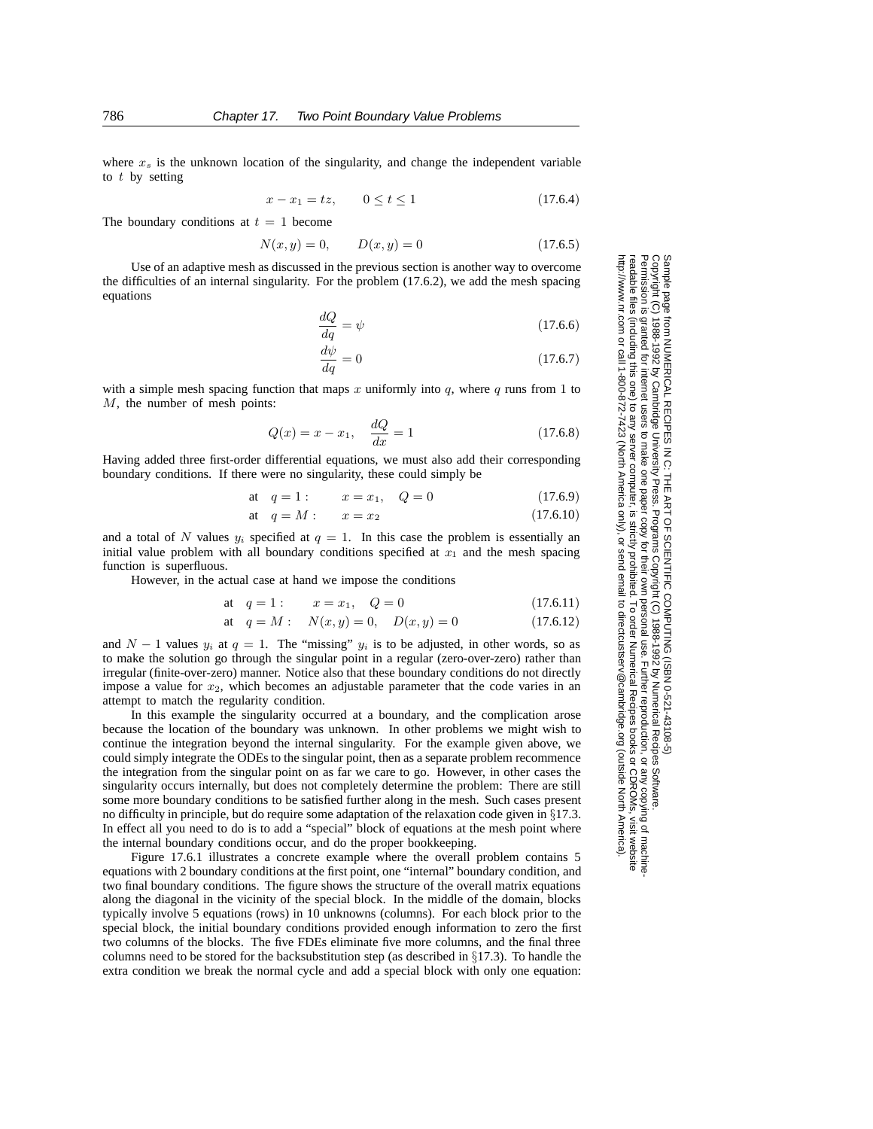where  $x<sub>s</sub>$  is the unknown location of the singularity, and change the independent variable to  $t$  by setting

$$
x - x_1 = tz, \qquad 0 \le t \le 1 \tag{17.6.4}
$$

The boundary conditions at  $t = 1$  become

$$
N(x, y) = 0, \qquad D(x, y) = 0 \tag{17.6.5}
$$

Use of an adaptive mesh as discussed in the previous section is another way to overcome the difficulties of an internal singularity. For the problem (17.6.2), we add the mesh spacing equations

$$
\frac{dQ}{dq} = \psi \tag{17.6.6}
$$

$$
\frac{d\psi}{dq} = 0\tag{17.6.7}
$$

with a simple mesh spacing function that maps x uniformly into  $q$ , where  $q$  runs from 1 to M, the number of mesh points:

$$
Q(x) = x - x_1, \quad \frac{dQ}{dx} = 1
$$
 (17.6.8)

Having added three first-order differential equations, we must also add their corresponding boundary conditions. If there were no singularity, these could simply be

at 
$$
q = 1
$$
:  $x = x_1$ ,  $Q = 0$  (17.6.9)

at 
$$
q = M
$$
:  $x = x_2$  (17.6.10)

and a total of N values  $y_i$  specified at  $q = 1$ . In this case the problem is essentially an initial value problem with all boundary conditions specified at  $x_1$  and the mesh spacing function is superfluous.

However, in the actual case at hand we impose the conditions

at 
$$
q = 1:
$$
  $x = x_1$ ,  $Q = 0$  (17.6.11)

at 
$$
q = M
$$
:  $N(x, y) = 0$ ,  $D(x, y) = 0$  (17.6.12)

and  $N - 1$  values  $y_i$  at  $q = 1$ . The "missing"  $y_i$  is to be adjusted, in other words, so as to make the solution go through the singular point in a regular (zero-over-zero) rather than irregular (finite-over-zero) manner. Notice also that these boundary conditions do not directly impose a value for  $x_2$ , which becomes an adjustable parameter that the code varies in an attempt to match the regularity condition.

In this example the singularity occurred at a boundary, and the complication arose because the location of the boundary was unknown. In other problems we might wish to continue the integration beyond the internal singularity. For the example given above, we could simply integrate the ODEs to the singular point, then as a separate problem recommence the integration from the singular point on as far we care to go. However, in other cases the singularity occurs internally, but does not completely determine the problem: There are still some more boundary conditions to be satisfied further along in the mesh. Such cases present no difficulty in principle, but do require some adaptation of the relaxation code given in §17.3. In effect all you need to do is to add a "special" block of equations at the mesh point where the internal boundary conditions occur, and do the proper bookkeeping.

Figure 17.6.1 illustrates a concrete example where the overall problem contains 5 equations with 2 boundary conditions at the first point, one "internal" boundary condition, and two final boundary conditions. The figure shows the structure of the overall matrix equations along the diagonal in the vicinity of the special block. In the middle of the domain, blocks typically involve 5 equations (rows) in 10 unknowns (columns). For each block prior to the special block, the initial boundary conditions provided enough information to zero the first two columns of the blocks. The five FDEs eliminate five more columns, and the final three columns need to be stored for the backsubstitution step (as described in  $\S17.3$ ). To handle the extra condition we break the normal cycle and add a special block with only one equation:

Sample page t<br>Copyright (C) Copyright (C) 1988-1992 by Cambridge University Press.Sample page from NUMERICAL RECIPES IN C: THE ART OF SCIENTIFIC COMPUTING (ISBN 0-521-43108-5) http://www.nr.com or call 1-800-872-7423 (North America only),readable files (including this one) to any serverPermission is granted for internet users to make one paper copy for their own personal use. Further reproduction, or any copyin Permission is granted for internet users from NUMERICAL RECIPES IN C: THE ART OF SCIENTIFIC COMPUTING (ISBN 0-521-43108-5)<br>1988-1992 by Cambridge University Press. Programs Copyright (C) 1988-1992 by Numerical Recipes Software computer, is strictly prohibited. To order Numerical Recipes booksPrograms Copyright (C) 1988-1992 by Numerical Recipes Software. or send email to directcustserv@cambridge.org (outside North America). or CDROMs, visit website g of machine